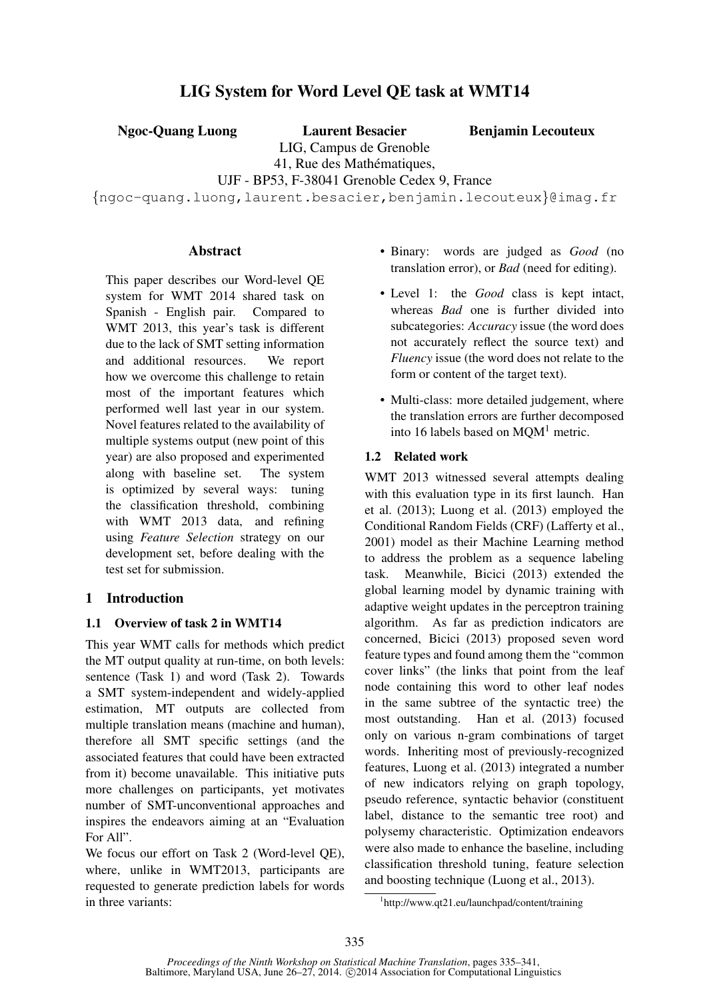# LIG System for Word Level QE task at WMT14

Ngoc-Quang Luong Laurent Besacier

Benjamin Lecouteux

LIG, Campus de Grenoble 41, Rue des Mathématiques,

UJF - BP53, F-38041 Grenoble Cedex 9, France

{ngoc-quang.luong,laurent.besacier,benjamin.lecouteux}@imag.fr

#### **Abstract**

This paper describes our Word-level QE system for WMT 2014 shared task on Spanish - English pair. Compared to WMT 2013, this year's task is different due to the lack of SMT setting information and additional resources. We report how we overcome this challenge to retain most of the important features which performed well last year in our system. Novel features related to the availability of multiple systems output (new point of this year) are also proposed and experimented along with baseline set. The system is optimized by several ways: tuning the classification threshold, combining with WMT 2013 data, and refining using *Feature Selection* strategy on our development set, before dealing with the test set for submission.

### 1 Introduction

### 1.1 Overview of task 2 in WMT14

This year WMT calls for methods which predict the MT output quality at run-time, on both levels: sentence (Task 1) and word (Task 2). Towards a SMT system-independent and widely-applied estimation, MT outputs are collected from multiple translation means (machine and human), therefore all SMT specific settings (and the associated features that could have been extracted from it) become unavailable. This initiative puts more challenges on participants, yet motivates number of SMT-unconventional approaches and inspires the endeavors aiming at an "Evaluation For All".

We focus our effort on Task 2 (Word-level QE), where, unlike in WMT2013, participants are requested to generate prediction labels for words in three variants:

- Binary: words are judged as *Good* (no translation error), or *Bad* (need for editing).
- Level 1: the *Good* class is kept intact, whereas *Bad* one is further divided into subcategories: *Accuracy* issue (the word does not accurately reflect the source text) and *Fluency* issue (the word does not relate to the form or content of the target text).
- Multi-class: more detailed judgement, where the translation errors are further decomposed into 16 labels based on  $MQM<sup>1</sup>$  metric.

### 1.2 Related work

WMT 2013 witnessed several attempts dealing with this evaluation type in its first launch. Han et al. (2013); Luong et al. (2013) employed the Conditional Random Fields (CRF) (Lafferty et al., 2001) model as their Machine Learning method to address the problem as a sequence labeling task. Meanwhile, Bicici (2013) extended the global learning model by dynamic training with adaptive weight updates in the perceptron training algorithm. As far as prediction indicators are concerned, Bicici (2013) proposed seven word feature types and found among them the "common cover links" (the links that point from the leaf node containing this word to other leaf nodes in the same subtree of the syntactic tree) the most outstanding. Han et al. (2013) focused only on various n-gram combinations of target words. Inheriting most of previously-recognized features, Luong et al. (2013) integrated a number of new indicators relying on graph topology, pseudo reference, syntactic behavior (constituent label, distance to the semantic tree root) and polysemy characteristic. Optimization endeavors were also made to enhance the baseline, including classification threshold tuning, feature selection and boosting technique (Luong et al., 2013).

<sup>1</sup> http://www.qt21.eu/launchpad/content/training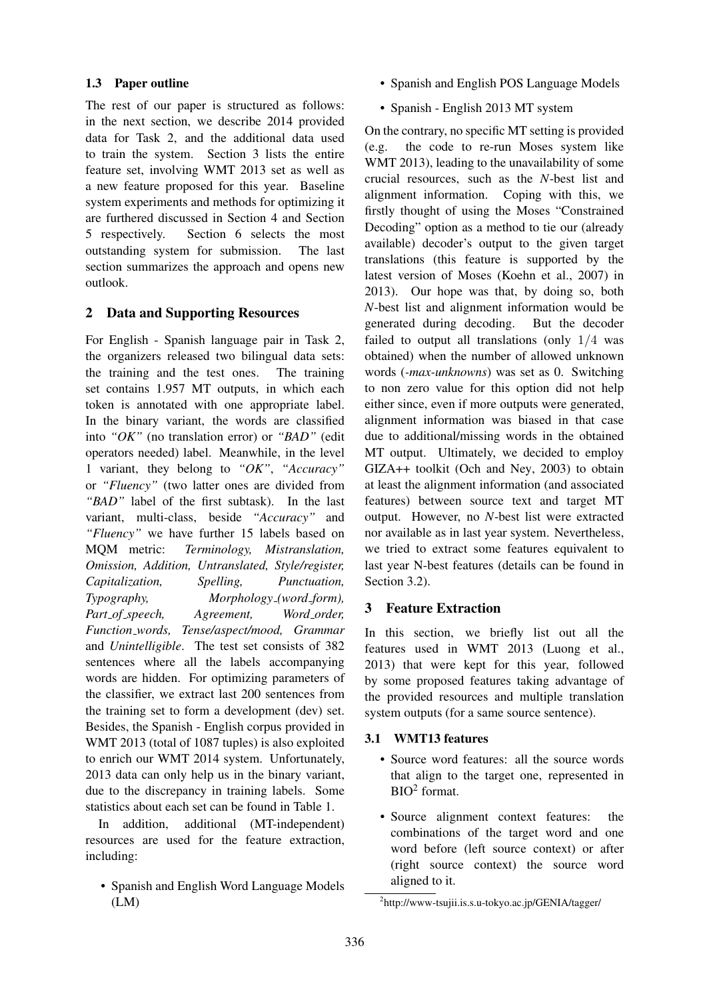# 1.3 Paper outline

The rest of our paper is structured as follows: in the next section, we describe 2014 provided data for Task 2, and the additional data used to train the system. Section 3 lists the entire feature set, involving WMT 2013 set as well as a new feature proposed for this year. Baseline system experiments and methods for optimizing it are furthered discussed in Section 4 and Section 5 respectively. Section 6 selects the most outstanding system for submission. The last section summarizes the approach and opens new outlook.

# 2 Data and Supporting Resources

For English - Spanish language pair in Task 2, the organizers released two bilingual data sets: the training and the test ones. The training set contains 1.957 MT outputs, in which each token is annotated with one appropriate label. In the binary variant, the words are classified into *"OK"* (no translation error) or *"BAD"* (edit operators needed) label. Meanwhile, in the level 1 variant, they belong to *"OK"*, *"Accuracy"* or *"Fluency"* (two latter ones are divided from *"BAD"* label of the first subtask). In the last variant, multi-class, beside *"Accuracy"* and *"Fluency"* we have further 15 labels based on MQM metric: *Terminology, Mistranslation, Omission, Addition, Untranslated, Style/register, Capitalization, Spelling, Punctuation, Typography, Morphology (word form), Part of speech, Agreement, Word order, Function words, Tense/aspect/mood, Grammar* and *Unintelligible*. The test set consists of 382 sentences where all the labels accompanying words are hidden. For optimizing parameters of the classifier, we extract last 200 sentences from the training set to form a development (dev) set. Besides, the Spanish - English corpus provided in WMT 2013 (total of 1087 tuples) is also exploited to enrich our WMT 2014 system. Unfortunately, 2013 data can only help us in the binary variant, due to the discrepancy in training labels. Some statistics about each set can be found in Table 1.

In addition, additional (MT-independent) resources are used for the feature extraction, including:

• Spanish and English Word Language Models (LM)

- Spanish and English POS Language Models
- Spanish English 2013 MT system

On the contrary, no specific MT setting is provided (e.g. the code to re-run Moses system like WMT 2013), leading to the unavailability of some crucial resources, such as the *N*-best list and alignment information. Coping with this, we firstly thought of using the Moses "Constrained Decoding" option as a method to tie our (already available) decoder's output to the given target translations (this feature is supported by the latest version of Moses (Koehn et al., 2007) in 2013). Our hope was that, by doing so, both *N*-best list and alignment information would be generated during decoding. But the decoder failed to output all translations (only  $1/4$  was obtained) when the number of allowed unknown words (*-max-unknowns*) was set as 0. Switching to non zero value for this option did not help either since, even if more outputs were generated, alignment information was biased in that case due to additional/missing words in the obtained MT output. Ultimately, we decided to employ GIZA++ toolkit (Och and Ney, 2003) to obtain at least the alignment information (and associated features) between source text and target MT output. However, no *N*-best list were extracted nor available as in last year system. Nevertheless, we tried to extract some features equivalent to last year N-best features (details can be found in Section 3.2).

# 3 Feature Extraction

In this section, we briefly list out all the features used in WMT 2013 (Luong et al., 2013) that were kept for this year, followed by some proposed features taking advantage of the provided resources and multiple translation system outputs (for a same source sentence).

# 3.1 WMT13 features

- Source word features: all the source words that align to the target one, represented in BIO<sup>2</sup> format.
- Source alignment context features: the combinations of the target word and one word before (left source context) or after (right source context) the source word aligned to it.

<sup>2</sup> http://www-tsujii.is.s.u-tokyo.ac.jp/GENIA/tagger/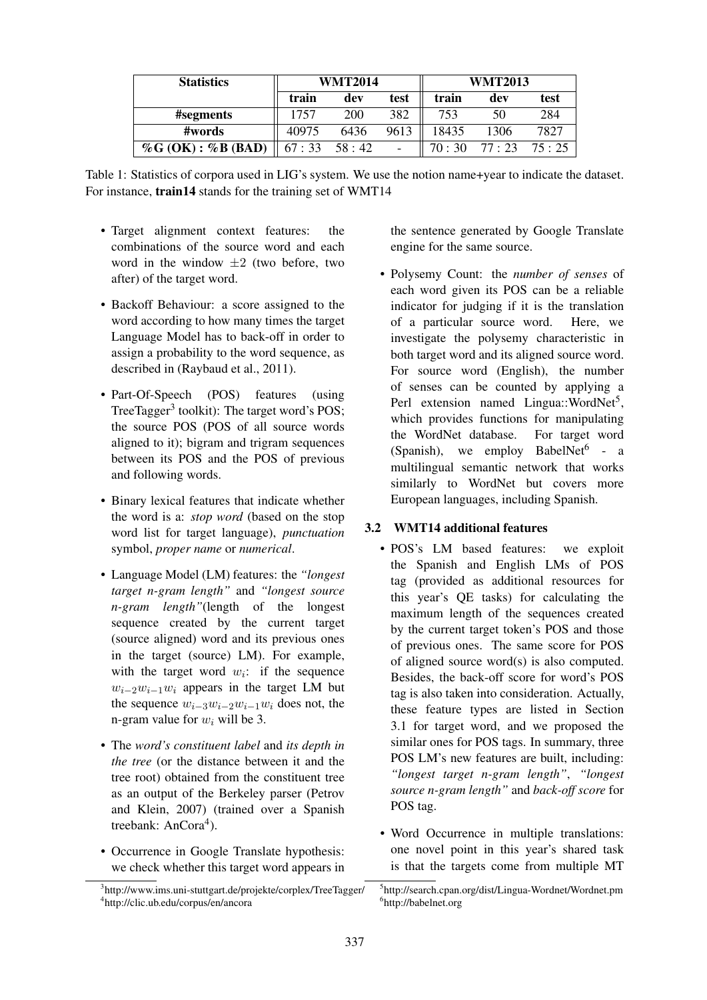| <b>Statistics</b>        | <b>WMT2014</b>  |      | <b>WMT2013</b> |       |         |       |
|--------------------------|-----------------|------|----------------|-------|---------|-------|
|                          | train           | dev  | test           | train | dev     | test  |
| #segments                | 1757            | 200  | 382            | 753   | 50      | 284   |
| #words                   | 40975           | 6436 | 9613           | 18435 | 1306    | 7827  |
| $\%G$ (OK) : $\%B$ (BAD) | $67:33$ $58:42$ |      |                | 70:30 | 77 : 23 | 75:25 |

Table 1: Statistics of corpora used in LIG's system. We use the notion name+year to indicate the dataset. For instance, train14 stands for the training set of WMT14

- Target alignment context features: the combinations of the source word and each word in the window  $\pm 2$  (two before, two after) of the target word.
- Backoff Behaviour: a score assigned to the word according to how many times the target Language Model has to back-off in order to assign a probability to the word sequence, as described in (Raybaud et al., 2011).
- Part-Of-Speech (POS) features (using TreeTagger<sup>3</sup> toolkit): The target word's POS; the source POS (POS of all source words aligned to it); bigram and trigram sequences between its POS and the POS of previous and following words.
- Binary lexical features that indicate whether the word is a: *stop word* (based on the stop word list for target language), *punctuation* symbol, *proper name* or *numerical*.
- Language Model (LM) features: the *"longest target n-gram length"* and *"longest source n-gram length"*(length of the longest sequence created by the current target (source aligned) word and its previous ones in the target (source) LM). For example, with the target word  $w_i$ : if the sequence  $w_{i-2}w_{i-1}w_i$  appears in the target LM but the sequence  $w_{i-3}w_{i-2}w_{i-1}w_i$  does not, the n-gram value for  $w_i$  will be 3.
- The *word's constituent label* and *its depth in the tree* (or the distance between it and the tree root) obtained from the constituent tree as an output of the Berkeley parser (Petrov and Klein, 2007) (trained over a Spanish treebank: AnCora<sup>4</sup>).
- Occurrence in Google Translate hypothesis: we check whether this target word appears in

the sentence generated by Google Translate engine for the same source.

• Polysemy Count: the *number of senses* of each word given its POS can be a reliable indicator for judging if it is the translation of a particular source word. Here, we investigate the polysemy characteristic in both target word and its aligned source word. For source word (English), the number of senses can be counted by applying a Perl extension named Lingua::WordNet<sup>5</sup>, which provides functions for manipulating the WordNet database. For target word (Spanish), we employ BabelNet<sup>6</sup> - a multilingual semantic network that works similarly to WordNet but covers more European languages, including Spanish.

# 3.2 WMT14 additional features

- POS's LM based features: we exploit the Spanish and English LMs of POS tag (provided as additional resources for this year's QE tasks) for calculating the maximum length of the sequences created by the current target token's POS and those of previous ones. The same score for POS of aligned source word(s) is also computed. Besides, the back-off score for word's POS tag is also taken into consideration. Actually, these feature types are listed in Section 3.1 for target word, and we proposed the similar ones for POS tags. In summary, three POS LM's new features are built, including: *"longest target n-gram length"*, *"longest source n-gram length"* and *back-off score* for POS tag.
- Word Occurrence in multiple translations: one novel point in this year's shared task is that the targets come from multiple MT

<sup>3</sup> http://www.ims.uni-stuttgart.de/projekte/corplex/TreeTagger/ 4 http://clic.ub.edu/corpus/en/ancora

<sup>5</sup> http://search.cpan.org/dist/Lingua-Wordnet/Wordnet.pm 6 http://babelnet.org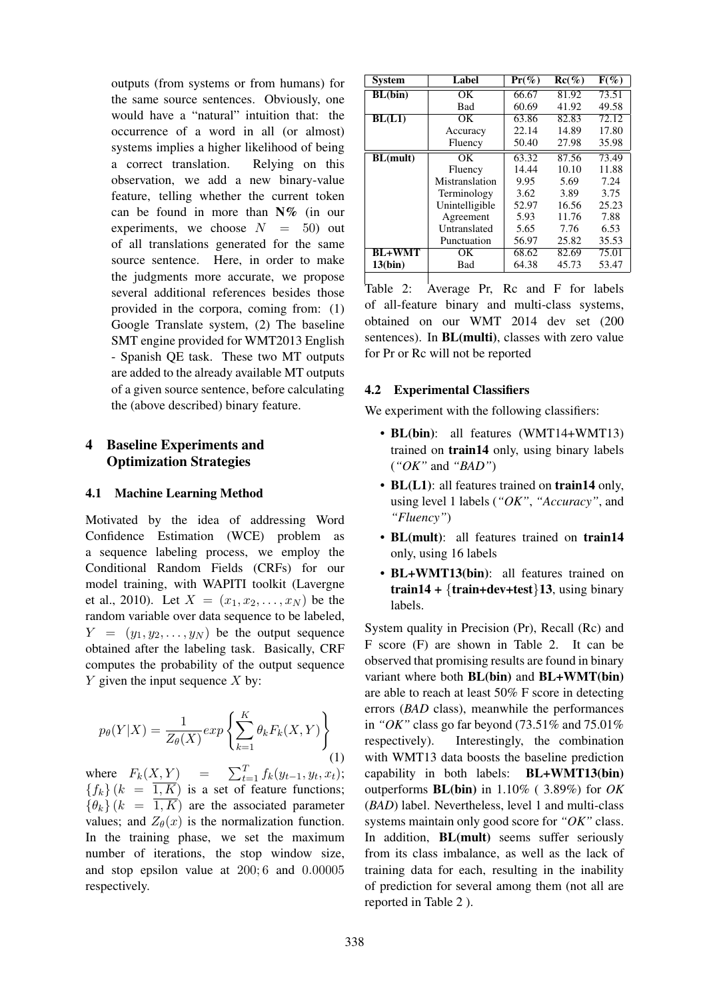outputs (from systems or from humans) for the same source sentences. Obviously, one would have a "natural" intuition that: the occurrence of a word in all (or almost) systems implies a higher likelihood of being a correct translation. Relying on this observation, we add a new binary-value feature, telling whether the current token can be found in more than  $N\%$  (in our experiments, we choose  $N = 50$  out of all translations generated for the same source sentence. Here, in order to make the judgments more accurate, we propose several additional references besides those provided in the corpora, coming from: (1) Google Translate system, (2) The baseline SMT engine provided for WMT2013 English - Spanish QE task. These two MT outputs are added to the already available MT outputs of a given source sentence, before calculating the (above described) binary feature.

# 4 Baseline Experiments and Optimization Strategies

#### 4.1 Machine Learning Method

Motivated by the idea of addressing Word Confidence Estimation (WCE) problem as a sequence labeling process, we employ the Conditional Random Fields (CRFs) for our model training, with WAPITI toolkit (Lavergne et al., 2010). Let  $X = (x_1, x_2, \dots, x_N)$  be the random variable over data sequence to be labeled,  $Y = (y_1, y_2, \dots, y_N)$  be the output sequence obtained after the labeling task. Basically, CRF computes the probability of the output sequence  $Y$  given the input sequence  $X$  by:

$$
p_{\theta}(Y|X) = \frac{1}{Z_{\theta}(X)} \exp\left\{\sum_{k=1}^{K} \theta_k F_k(X, Y)\right\}
$$
(1)

where  $F_k(X, Y) =$  $_{t=1}^{T}$   $f_{k}(y_{t-1}, y_{t}, x_{t});$  ${f_k}(k = \overline{1, K})$  is a set of feature functions;  ${\lbrace \theta_k \rbrace}$  ( $k = \overline{1, K}$ ) are the associated parameter values; and  $Z_{\theta}(x)$  is the normalization function. In the training phase, we set the maximum number of iterations, the stop window size, and stop epsilon value at 200; 6 and 0.00005 respectively.

| <b>System</b>   | Label          | $Pr(\%)$ | $Re(\%)$ | $F(\%)$ |
|-----------------|----------------|----------|----------|---------|
| BL(bin)         | OК             | 66.67    | 81.92    | 73.51   |
|                 | <b>Bad</b>     | 60.69    | 41.92    | 49.58   |
| BL(L1)          | OК             | 63.86    | 82.83    | 72.12   |
|                 | Accuracy       | 22.14    | 14.89    | 17.80   |
|                 | Fluency        | 50.40    | 27.98    | 35.98   |
| <b>BL(mult)</b> | OK             | 63.32    | 87.56    | 73.49   |
|                 | Fluency        | 14.44    | 10.10    | 11.88   |
|                 | Mistranslation | 9.95     | 5.69     | 7.24    |
|                 | Terminology    | 3.62     | 3.89     | 3.75    |
|                 | Unintelligible | 52.97    | 16.56    | 25.23   |
|                 | Agreement      | 5.93     | 11.76    | 7.88    |
|                 | Untranslated   | 5.65     | 7.76     | 6.53    |
|                 | Punctuation    | 56.97    | 25.82    | 35.53   |
| <b>BL+WMT</b>   | OК             | 68.62    | 82.69    | 75.01   |
| 13(bin)         | Bad            | 64.38    | 45.73    | 53.47   |

Table 2:  $\overline{\phantom{a}}$  Average Pr, Rc and F for labels of all-feature binary and multi-class systems, obtained on our WMT 2014 dev set (200 sentences). In BL(multi), classes with zero value for Pr or Rc will not be reported

#### 4.2 Experimental Classifiers

We experiment with the following classifiers:

- BL(bin): all features (WMT14+WMT13) trained on train14 only, using binary labels (*"OK"* and *"BAD"*)
- BL(L1): all features trained on train14 only, using level 1 labels (*"OK"*, *"Accuracy"*, and *"Fluency"*)
- BL(mult): all features trained on train14 only, using 16 labels
- BL+WMT13(bin): all features trained on train14 +  ${train+dev+test}$ 13, using binary labels.

System quality in Precision (Pr), Recall (Rc) and F score (F) are shown in Table 2. It can be observed that promising results are found in binary variant where both BL(bin) and BL+WMT(bin) are able to reach at least 50% F score in detecting errors (*BAD* class), meanwhile the performances in *"OK"* class go far beyond (73.51% and 75.01% respectively). Interestingly, the combination with WMT13 data boosts the baseline prediction capability in both labels: BL+WMT13(bin) outperforms BL(bin) in 1.10% ( 3.89%) for *OK* (*BAD*) label. Nevertheless, level 1 and multi-class systems maintain only good score for *"OK"* class. In addition, BL(mult) seems suffer seriously from its class imbalance, as well as the lack of training data for each, resulting in the inability of prediction for several among them (not all are reported in Table 2 ).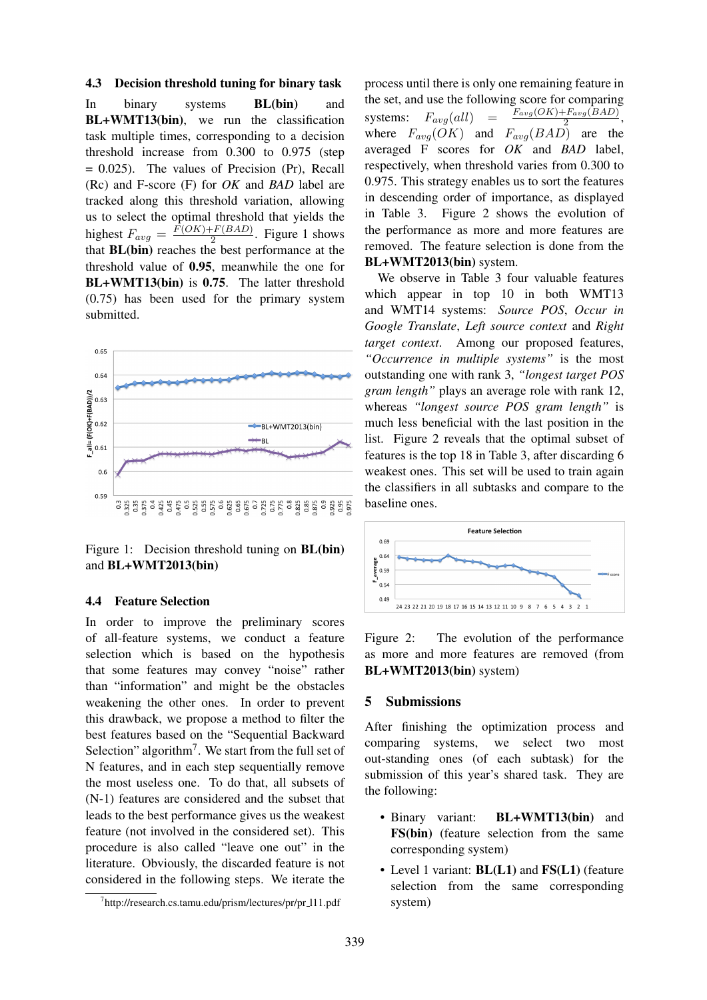#### 4.3 Decision threshold tuning for binary task

In binary systems BL(bin) and BL+WMT13(bin), we run the classification task multiple times, corresponding to a decision threshold increase from 0.300 to 0.975 (step  $= 0.025$ ). The values of Precision (Pr), Recall (Rc) and F-score (F) for *OK* and *BAD* label are tracked along this threshold variation, allowing us to select the optimal threshold that yields the highest  $F_{avg} = \frac{F(OK) + F(BAD)}{2}$  $\frac{2^{-r} (BAD)}{2}$ . Figure 1 shows that BL(bin) reaches the best performance at the threshold value of 0.95, meanwhile the one for BL+WMT13(bin) is 0.75. The latter threshold (0.75) has been used for the primary system submitted.



Figure 1: Decision threshold tuning on **BL(bin)** and BL+WMT2013(bin)

#### 4.4 Feature Selection

In order to improve the preliminary scores of all-feature systems, we conduct a feature selection which is based on the hypothesis that some features may convey "noise" rather than "information" and might be the obstacles weakening the other ones. In order to prevent this drawback, we propose a method to filter the best features based on the "Sequential Backward Selection" algorithm<sup>7</sup>. We start from the full set of N features, and in each step sequentially remove the most useless one. To do that, all subsets of (N-1) features are considered and the subset that leads to the best performance gives us the weakest feature (not involved in the considered set). This procedure is also called "leave one out" in the literature. Obviously, the discarded feature is not considered in the following steps. We iterate the process until there is only one remaining feature in the set, and use the following score for comparing systems:  $F_{avg}(all)$ systems.  $r_{avg}(div)$  –  $\frac{2}{2}$ ,<br>where  $F_{avg}(OK)$  and  $F_{avg}(BAD)$  are the  $F_{avg}(OK) + F_{avg}(BAD)$ averaged F scores for *OK* and *BAD* label, respectively, when threshold varies from 0.300 to 0.975. This strategy enables us to sort the features in descending order of importance, as displayed in Table 3. Figure 2 shows the evolution of the performance as more and more features are removed. The feature selection is done from the BL+WMT2013(bin) system.

We observe in Table 3 four valuable features which appear in top 10 in both WMT13 and WMT14 systems: *Source POS*, *Occur in Google Translate*, *Left source context* and *Right target context*. Among our proposed features, *"Occurrence in multiple systems"* is the most outstanding one with rank 3, *"longest target POS gram length"* plays an average role with rank 12, whereas *"longest source POS gram length"* is much less beneficial with the last position in the list. Figure 2 reveals that the optimal subset of features is the top 18 in Table 3, after discarding 6 weakest ones. This set will be used to train again the classifiers in all subtasks and compare to the baseline ones.



Figure 2: The evolution of the performance as more and more features are removed (from BL+WMT2013(bin) system)

#### 5 Submissions

After finishing the optimization process and comparing systems, we select two most out-standing ones (of each subtask) for the submission of this year's shared task. They are the following:

- Binary variant: **BL+WMT13(bin)** and FS(bin) (feature selection from the same corresponding system)
- Level 1 variant: **BL(L1)** and **FS(L1)** (feature selection from the same corresponding system)

<sup>7</sup> http://research.cs.tamu.edu/prism/lectures/pr/pr l11.pdf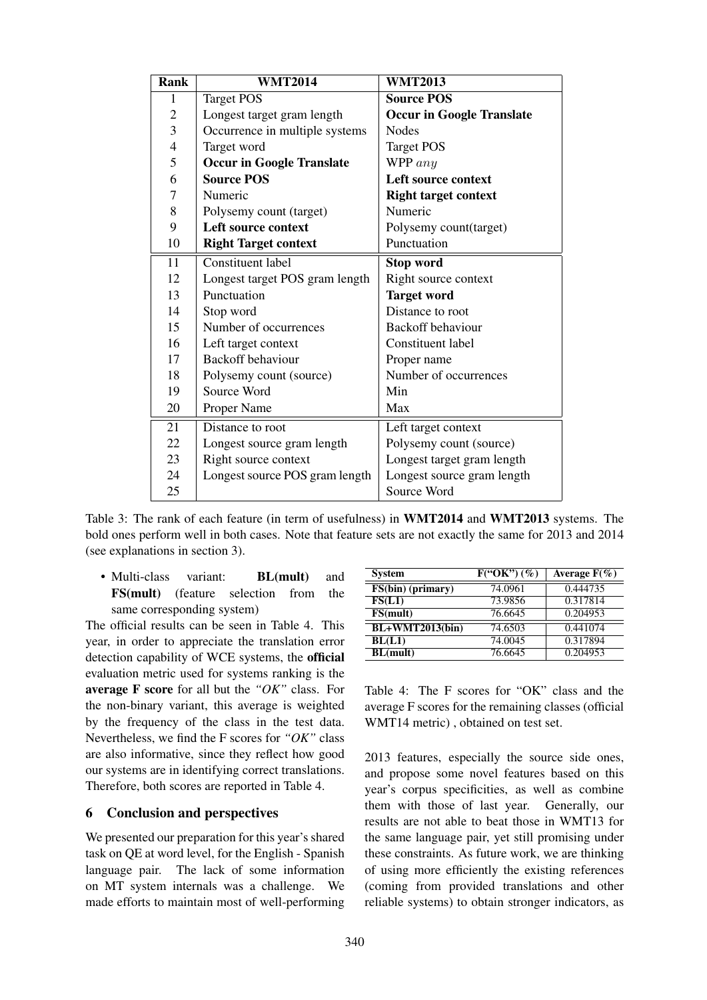| <b>Rank</b>    | <b>WMT2014</b>                   | <b>WMT2013</b>                   |  |  |
|----------------|----------------------------------|----------------------------------|--|--|
| 1              | <b>Target POS</b>                | <b>Source POS</b>                |  |  |
| $\mathbf 2$    | Longest target gram length       | <b>Occur in Google Translate</b> |  |  |
| 3              | Occurrence in multiple systems   | <b>Nodes</b>                     |  |  |
| $\overline{4}$ | Target word                      | <b>Target POS</b>                |  |  |
| 5              | <b>Occur in Google Translate</b> | WPP $any$                        |  |  |
| 6              | <b>Source POS</b>                | Left source context              |  |  |
| 7              | Numeric                          | <b>Right target context</b>      |  |  |
| 8              | Polysemy count (target)          | Numeric                          |  |  |
| 9              | <b>Left source context</b>       | Polysemy count(target)           |  |  |
| 10             | <b>Right Target context</b>      | Punctuation                      |  |  |
| 11             | <b>Constituent label</b>         | <b>Stop word</b>                 |  |  |
| 12             | Longest target POS gram length   | Right source context             |  |  |
| 13             | Punctuation                      | <b>Target word</b>               |  |  |
| 14             | Stop word                        | Distance to root                 |  |  |
| 15             | Number of occurrences            | Backoff behaviour                |  |  |
| 16             | Left target context              | Constituent label                |  |  |
| 17             | Backoff behaviour                | Proper name                      |  |  |
| 18             | Polysemy count (source)          | Number of occurrences            |  |  |
| 19             | Source Word                      | Min                              |  |  |
| 20             | Proper Name                      | Max                              |  |  |
| 21             | Distance to root                 | Left target context              |  |  |
| 22             | Longest source gram length       | Polysemy count (source)          |  |  |
| 23             | Right source context             | Longest target gram length       |  |  |
| 24             | Longest source POS gram length   | Longest source gram length       |  |  |
| 25             |                                  | Source Word                      |  |  |

Table 3: The rank of each feature (in term of usefulness) in WMT2014 and WMT2013 systems. The bold ones perform well in both cases. Note that feature sets are not exactly the same for 2013 and 2014 (see explanations in section 3).

• Multi-class variant: **BL(mult)** and FS(mult) (feature selection from the same corresponding system)

The official results can be seen in Table 4. This year, in order to appreciate the translation error detection capability of WCE systems, the official evaluation metric used for systems ranking is the average F score for all but the *"OK"* class. For the non-binary variant, this average is weighted by the frequency of the class in the test data. Nevertheless, we find the F scores for *"OK"* class are also informative, since they reflect how good our systems are in identifying correct translations. Therefore, both scores are reported in Table 4.

# 6 Conclusion and perspectives

We presented our preparation for this year's shared task on QE at word level, for the English - Spanish language pair. The lack of some information on MT system internals was a challenge. We made efforts to maintain most of well-performing

| <b>System</b>     | $F("OK")$ $(\%)$ | Average $F(\% )$ |
|-------------------|------------------|------------------|
| FS(bin) (primary) | 74.0961          | 0.444735         |
| FS(L1)            | 73.9856          | 0.317814         |
| FS(mult)          | 76.6645          | 0.204953         |
| $BL+WMT2013(bin)$ | 74.6503          | 0.441074         |
| BL(L1)            | 74.0045          | 0.317894         |
| <b>BL(mult)</b>   | 76.6645          | 0.204953         |

Table 4: The F scores for "OK" class and the average F scores for the remaining classes (official WMT14 metric) , obtained on test set.

2013 features, especially the source side ones, and propose some novel features based on this year's corpus specificities, as well as combine them with those of last year. Generally, our results are not able to beat those in WMT13 for the same language pair, yet still promising under these constraints. As future work, we are thinking of using more efficiently the existing references (coming from provided translations and other reliable systems) to obtain stronger indicators, as